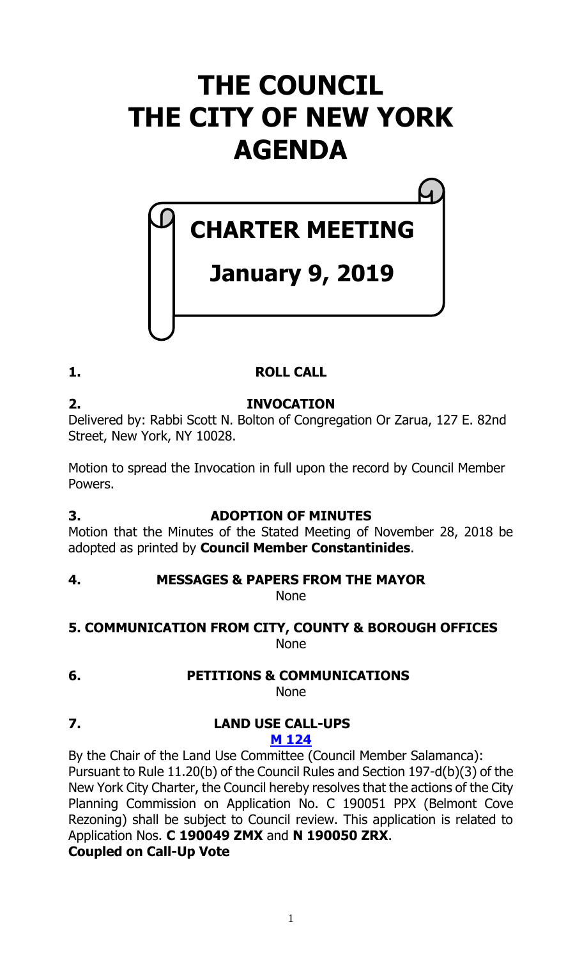# **THE COUNCIL THE CITY OF NEW YORK AGENDA**

# **CHARTER MEETING**

# **January 9, 2019**

# **1. ROLL CALL**

**2. INVOCATION** Delivered by: Rabbi Scott N. Bolton of Congregation Or Zarua, 127 E. 82nd Street, New York, NY 10028.

Motion to spread the Invocation in full upon the record by Council Member Powers.

# **3. ADOPTION OF MINUTES**

Motion that the Minutes of the Stated Meeting of November 28, 2018 be adopted as printed by **Council Member Constantinides**.

# **4. MESSAGES & PAPERS FROM THE MAYOR**

None

# **5. COMMUNICATION FROM CITY, COUNTY & BOROUGH OFFICES** None

**6. PETITIONS & COMMUNICATIONS**

None

#### **7. LAND USE CALL-UPS M [124](https://legistar.council.nyc.gov/LegislationDetail.aspx?ID=3830490&GUID=3C923613-11AF-4AA6-879C-121F15849160&Options=Advanced&Search=)**

By the Chair of the Land Use Committee (Council Member Salamanca): Pursuant to Rule 11.20(b) of the Council Rules and Section 197-d(b)(3) of the New York City Charter, the Council hereby resolves that the actions of the City Planning Commission on Application No. C 190051 PPX (Belmont Cove Rezoning) shall be subject to Council review. This application is related to Application Nos. **C 190049 ZMX** and **N 190050 ZRX**. **Coupled on Call-Up Vote**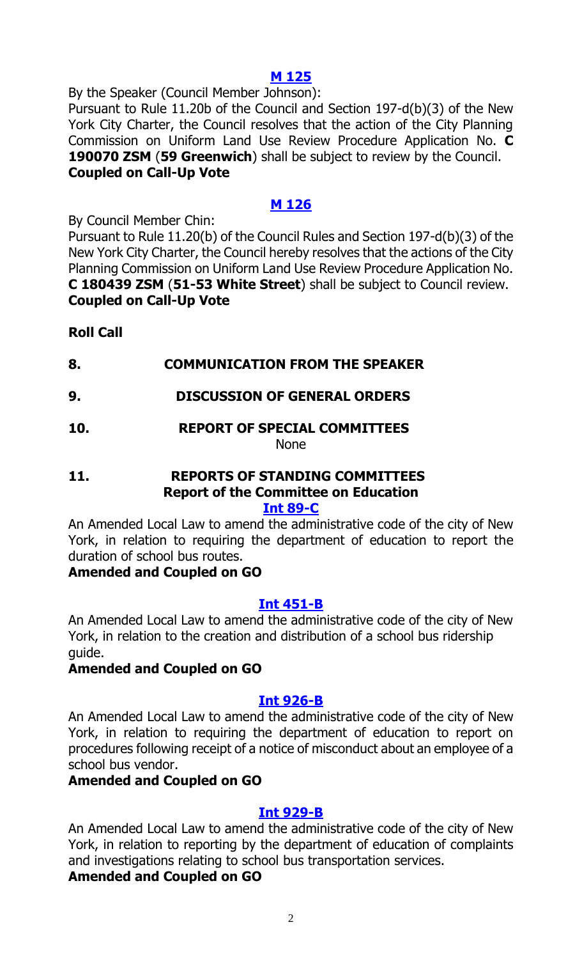#### **M [125](https://legistar.council.nyc.gov/LegislationDetail.aspx?ID=3830492&GUID=8AA1A3A5-4E6A-4EFA-8204-6569456A7CF8&Options=Advanced&Search=)**

By the Speaker (Council Member Johnson):

Pursuant to Rule 11.20b of the Council and Section 197-d(b)(3) of the New York City Charter, the Council resolves that the action of the City Planning Commission on Uniform Land Use Review Procedure Application No. **C 190070 ZSM** (**59 Greenwich**) shall be subject to review by the Council. **Coupled on Call-Up Vote**

# **M [126](https://legistar.council.nyc.gov/LegislationDetail.aspx?ID=3830491&GUID=E5770956-7A83-41BF-AFD4-2410326940F9&Options=Advanced&Search=)**

By Council Member Chin:

Pursuant to Rule 11.20(b) of the Council Rules and Section 197-d(b)(3) of the New York City Charter, the Council hereby resolves that the actions of the City Planning Commission on Uniform Land Use Review Procedure Application No. **C 180439 ZSM** (**51-53 White Street**) shall be subject to Council review. **Coupled on Call-Up Vote**

# **Roll Call**

- **8. COMMUNICATION FROM THE SPEAKER**
- **9. DISCUSSION OF GENERAL ORDERS**

#### **10. REPORT OF SPECIAL COMMITTEES** None

#### **11. REPORTS OF STANDING COMMITTEES Report of the Committee on Education [Int 89-C](https://legistar.council.nyc.gov/LegislationDetail.aspx?ID=3331734&GUID=A1F74FD4-E9FC-48B0-AF93-85ED164FC510&Options=&Search=)**

An Amended Local Law to amend the administrative code of the city of New York, in relation to requiring the department of education to report the duration of school bus routes.

# **Amended and Coupled on GO**

# **[Int 451-B](https://legistar.council.nyc.gov/LegislationDetail.aspx?ID=3343757&GUID=CD9EEF91-9CC5-47B2-84D0-1A34C121CECF&Options=&Search=)**

An Amended Local Law to amend the administrative code of the city of New York, in relation to the creation and distribution of a school bus ridership guide.

# **Amended and Coupled on GO**

# **Int [926-B](https://legistar.council.nyc.gov/LegislationDetail.aspx?ID=3509874&GUID=99457226-162F-460E-96BE-5ADA975DDE58&Options=&Search=)**

An Amended Local Law to amend the administrative code of the city of New York, in relation to requiring the department of education to report on procedures following receipt of a notice of misconduct about an employee of a school bus vendor.

# **Amended and Coupled on GO**

# **Int [929-B](https://legistar.council.nyc.gov/LegislationDetail.aspx?ID=3509876&GUID=2AB7193D-49D5-486C-B818-31A1B88537F3&Options=&Search=)**

An Amended Local Law to amend the administrative code of the city of New York, in relation to reporting by the department of education of complaints and investigations relating to school bus transportation services.

# **Amended and Coupled on GO**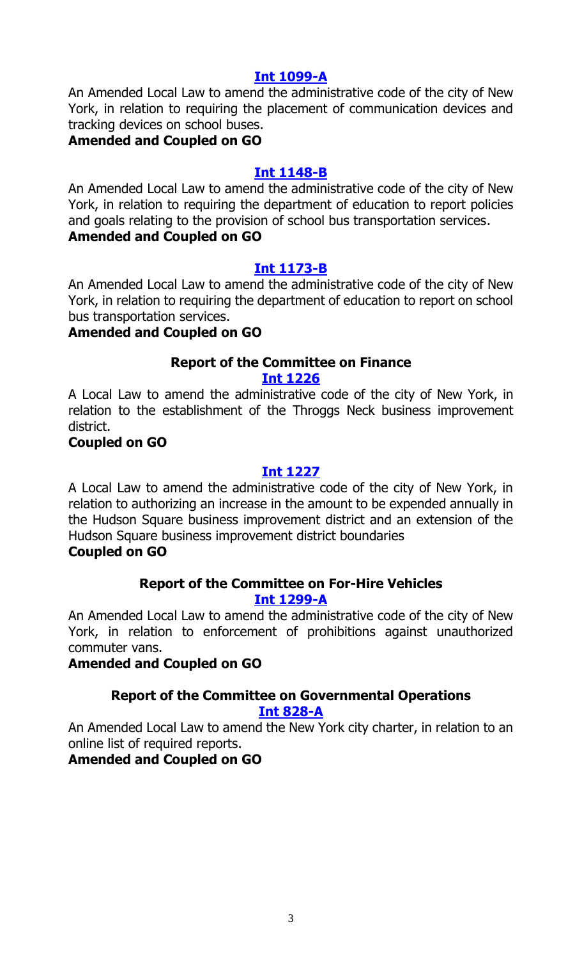#### **Int [1099-A](https://legistar.council.nyc.gov/LegislationDetail.aspx?ID=3673405&GUID=9ACA8B06-619E-4DAA-B2D4-8C4C80DB9E8B&Options=&Search=)**

An Amended Local Law to amend the administrative code of the city of New York, in relation to requiring the placement of communication devices and tracking devices on school buses.

#### **Amended and Coupled on GO**

#### **Int [1148-B](https://legistar.council.nyc.gov/LegislationDetail.aspx?ID=3695081&GUID=CEF5F7CC-C373-4A36-A41E-A773DAAB875E&Options=&Search=)**

An Amended Local Law to amend the administrative code of the city of New York, in relation to requiring the department of education to report policies and goals relating to the provision of school bus transportation services. **Amended and Coupled on GO**

#### **Int [1173-B](https://legistar.council.nyc.gov/LegislationDetail.aspx?ID=3691009&GUID=80A33653-A13B-4536-9A77-9DAF2D8B5441&Options=&Search=)**

An Amended Local Law to amend the administrative code of the city of New York, in relation to requiring the department of education to report on school bus transportation services.

#### **Amended and Coupled on GO**

# **Report of the Committee on Finance**

#### **[Int 1226](https://legistar.council.nyc.gov/LegislationDetail.aspx?ID=3726171&GUID=15CFB8CA-034D-4A2E-BAC9-87B7E8717A5B&Options=&Search=)**

A Local Law to amend the administrative code of the city of New York, in relation to the establishment of the Throggs Neck business improvement district.

#### **Coupled on GO**

### **[Int 1227](https://legistar.council.nyc.gov/LegislationDetail.aspx?ID=3726170&GUID=F824C79C-362D-44FB-9816-37117842C74D&Options=&Search=)**

A Local Law to amend the administrative code of the city of New York, in relation to authorizing an increase in the amount to be expended annually in the Hudson Square business improvement district and an extension of the Hudson Square business improvement district boundaries

# **Coupled on GO**

#### **Report of the Committee on For-Hire Vehicles [Int 1299-A](https://legistar.council.nyc.gov/LegislationDetail.aspx?ID=3775587&GUID=A45C1EA6-6668-42D2-82F9-22F0954D0474&Options=Advanced&Search=)**

An Amended Local Law to amend the administrative code of the city of New York, in relation to enforcement of prohibitions against unauthorized commuter vans.

#### **Amended and Coupled on GO**

# **Report of the Committee on Governmental Operations**

#### **[Int 828-A](https://legistar.council.nyc.gov/LegislationDetail.aspx?ID=3479566&GUID=F244E6EE-7219-4FCF-B31C-6AB4F802C52E&Options=Advanced&Search=)**

An Amended Local Law to amend the New York city charter, in relation to an online list of required reports.

#### **Amended and Coupled on GO**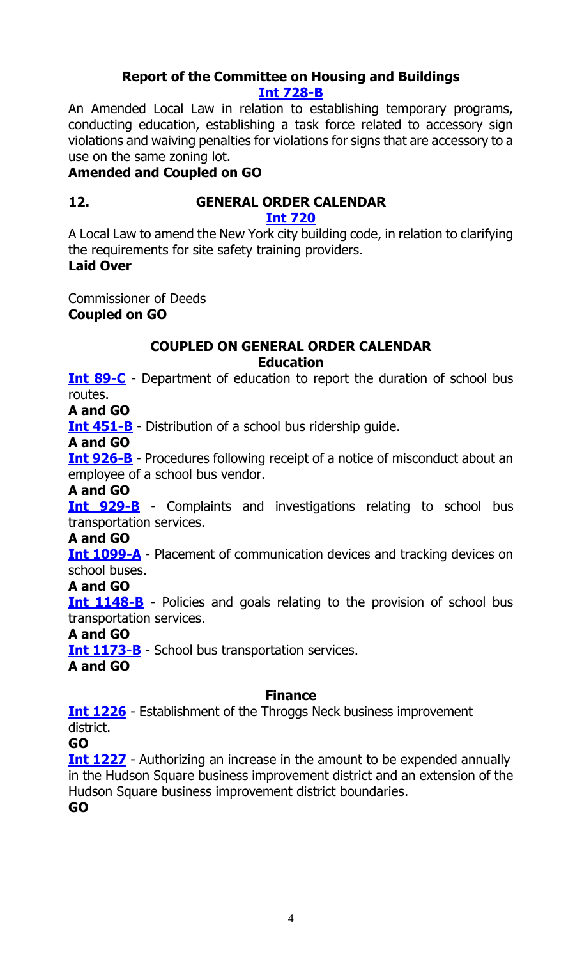# **Report of the Committee on Housing and Buildings [Int 728-B](https://legistar.council.nyc.gov/LegislationDetail.aspx?ID=3458219&GUID=B0C7E025-D09E-4A05-A48B-7BCB7EBE7E33&Options=Advanced&Search=)**

An Amended Local Law in relation to establishing temporary programs, conducting education, establishing a task force related to accessory sign violations and waiving penalties for violations for signs that are accessory to a use on the same zoning lot.

# **Amended and Coupled on GO**

# **12. GENERAL ORDER CALENDAR**

**[Int 720](https://legistar.council.nyc.gov/LegislationDetail.aspx?ID=3364140&GUID=4A00AE92-D940-431A-A3C6-0AA406BC41F1&Options=ID|Text|&Search=0720)**

A Local Law to amend the New York city building code, in relation to clarifying the requirements for site safety training providers.

**Laid Over**

Commissioner of Deeds **Coupled on GO**

# **COUPLED ON GENERAL ORDER CALENDAR Education**

**[Int 89-C](https://legistar.council.nyc.gov/LegislationDetail.aspx?ID=3331734&GUID=A1F74FD4-E9FC-48B0-AF93-85ED164FC510&Options=&Search=)** - Department of education to report the duration of school bus routes.

**A and GO**

**[Int 451-B](https://legistar.council.nyc.gov/LegislationDetail.aspx?ID=3343757&GUID=CD9EEF91-9CC5-47B2-84D0-1A34C121CECF&Options=&Search=)** - Distribution of a school bus ridership guide.

**A and GO**

**[Int 926-B](https://legistar.council.nyc.gov/LegislationDetail.aspx?ID=3509874&GUID=99457226-162F-460E-96BE-5ADA975DDE58&Options=&Search=)** - Procedures following receipt of a notice of misconduct about an employee of a school bus vendor.

**A and GO**

**[Int 929-B](https://legistar.council.nyc.gov/LegislationDetail.aspx?ID=3509876&GUID=2AB7193D-49D5-486C-B818-31A1B88537F3&Options=&Search=)** - Complaints and investigations relating to school bus transportation services.

**A and GO**

**[Int 1099-A](https://legistar.council.nyc.gov/LegislationDetail.aspx?ID=3673405&GUID=9ACA8B06-619E-4DAA-B2D4-8C4C80DB9E8B&Options=&Search=)** - Placement of communication devices and tracking devices on school buses.

# **A and GO**

**[Int 1148-B](https://legistar.council.nyc.gov/LegislationDetail.aspx?ID=3695081&GUID=CEF5F7CC-C373-4A36-A41E-A773DAAB875E&Options=&Search=)** - Policies and goals relating to the provision of school bus transportation services.

# **A and GO**

**[Int 1173-B](https://legistar.council.nyc.gov/LegislationDetail.aspx?ID=3691009&GUID=80A33653-A13B-4536-9A77-9DAF2D8B5441&Options=&Search=)** - School bus transportation services.

**A and GO**

# **Finance**

**[Int 1226](https://legistar.council.nyc.gov/LegislationDetail.aspx?ID=3726171&GUID=15CFB8CA-034D-4A2E-BAC9-87B7E8717A5B&Options=&Search=)** - Establishment of the Throggs Neck business improvement district.

**GO**

**[Int 1227](https://legistar.council.nyc.gov/LegislationDetail.aspx?ID=3726170&GUID=F824C79C-362D-44FB-9816-37117842C74D&Options=&Search=)** - Authorizing an increase in the amount to be expended annually in the Hudson Square business improvement district and an extension of the Hudson Square business improvement district boundaries.

**GO**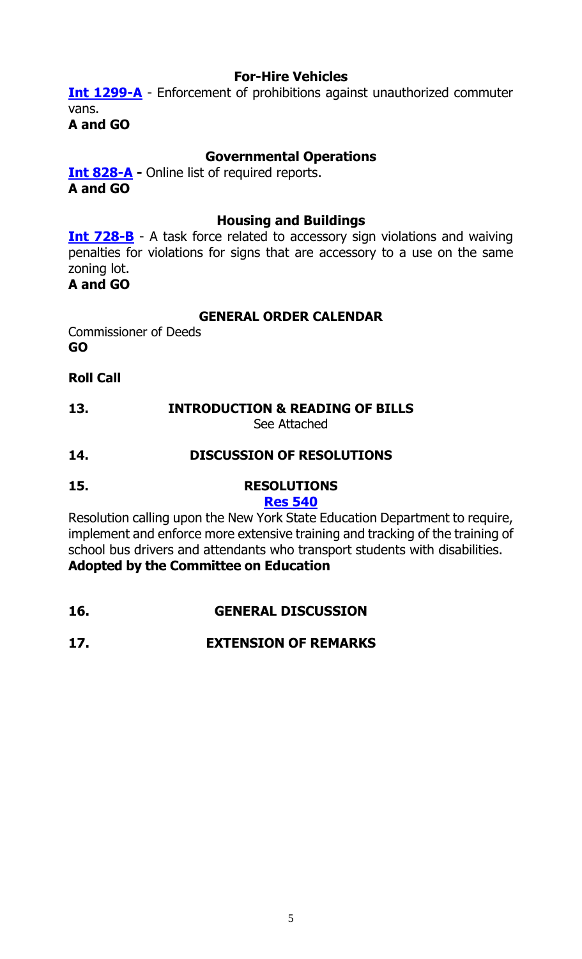#### **For-Hire Vehicles**

**[Int 1299-A](https://legistar.council.nyc.gov/LegislationDetail.aspx?ID=3775587&GUID=A45C1EA6-6668-42D2-82F9-22F0954D0474&Options=Advanced&Search=)** - Enforcement of prohibitions against unauthorized commuter vans.

**A and GO**

### **Governmental Operations**

**[Int 828-A](https://legistar.council.nyc.gov/LegislationDetail.aspx?ID=3479566&GUID=F244E6EE-7219-4FCF-B31C-6AB4F802C52E&Options=Advanced&Search=) -** Online list of required reports. **A and GO**

#### **Housing and Buildings**

**[Int 728-B](https://legistar.council.nyc.gov/LegislationDetail.aspx?ID=3458219&GUID=B0C7E025-D09E-4A05-A48B-7BCB7EBE7E33&Options=Advanced&Search=)** - A task force related to accessory sign violations and waiving penalties for violations for signs that are accessory to a use on the same zoning lot.

#### **A and GO**

#### **GENERAL ORDER CALENDAR**

Commissioner of Deeds **GO**

#### **Roll Call**

#### **13. INTRODUCTION & READING OF BILLS** See Attached

#### **14. DISCUSSION OF RESOLUTIONS**

**15. RESOLUTIONS**

#### **Res [540](https://legistar.council.nyc.gov/LegislationDetail.aspx?ID=3686879&GUID=233CDCCC-31F2-4D9D-BAA7-EC9BE33B02CC&Options=ID|Text|&Search=0540)**

Resolution calling upon the New York State Education Department to require, implement and enforce more extensive training and tracking of the training of school bus drivers and attendants who transport students with disabilities. **Adopted by the Committee on Education**

**16. GENERAL DISCUSSION**

# **17. EXTENSION OF REMARKS**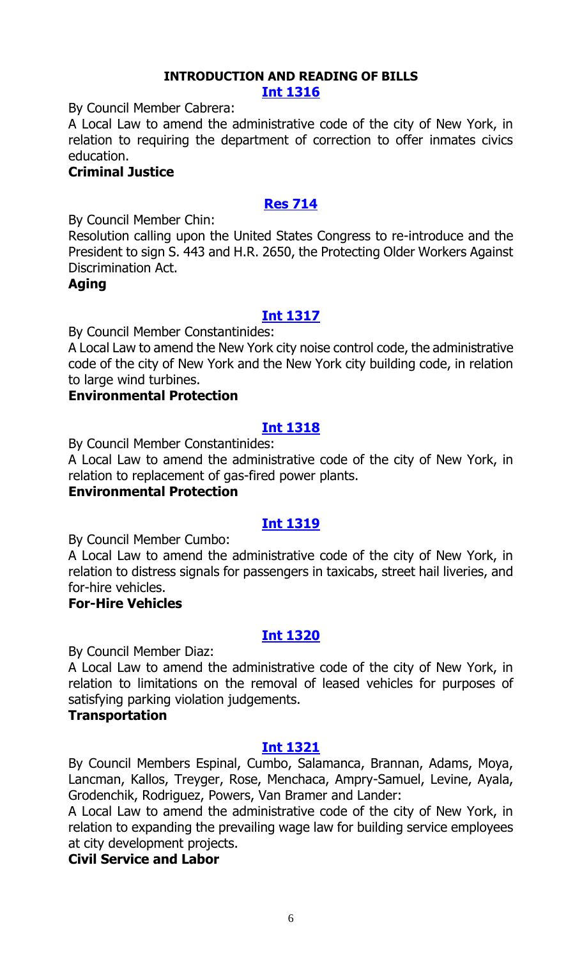# **INTRODUCTION AND READING OF BILLS**

#### **[Int 1316](https://legistar.council.nyc.gov/LegislationDetail.aspx?ID=3830890&GUID=E4D328D5-4D70-4B3C-BB68-D8FF6F5BD556&Options=ID|&Search=)**

By Council Member Cabrera:

A Local Law to amend the administrative code of the city of New York, in relation to requiring the department of correction to offer inmates civics education.

### **Criminal Justice**

# **[Res 714](https://legistar.council.nyc.gov/LegislationDetail.aspx?ID=3830894&GUID=63FB3C3B-D77F-4ED8-91C1-5B71A2C02EA8&Options=ID|&Search=)**

By Council Member Chin:

Resolution calling upon the United States Congress to re-introduce and the President to sign S. 443 and H.R. 2650, the Protecting Older Workers Against Discrimination Act.

#### **Aging**

#### **[Int 1317](https://legistar.council.nyc.gov/LegislationDetail.aspx?ID=3830889&GUID=D5499519-6AFA-4C23-A1A4-10EAA8048A67&Options=ID|&Search=)**

By Council Member Constantinides:

A Local Law to amend the New York city noise control code, the administrative code of the city of New York and the New York city building code, in relation to large wind turbines.

#### **Environmental Protection**

# **[Int 1318](https://legistar.council.nyc.gov/LegislationDetail.aspx?ID=3826175&GUID=3AE6DC47-10D9-479A-AEBD-3DF0F421AEC5&Options=ID|&Search=)**

By Council Member Constantinides:

A Local Law to amend the administrative code of the city of New York, in relation to replacement of gas-fired power plants.

#### **Environmental Protection**

# **[Int 1319](https://legistar.council.nyc.gov/LegislationDetail.aspx?ID=3830885&GUID=8ED1CB48-1A57-4F49-9891-EB7EB59E9937&Options=ID|&Search=)**

By Council Member Cumbo:

A Local Law to amend the administrative code of the city of New York, in relation to distress signals for passengers in taxicabs, street hail liveries, and for-hire vehicles.

### **For-Hire Vehicles**

#### **[Int 1320](https://legistar.council.nyc.gov/LegislationDetail.aspx?ID=3830895&GUID=A040A183-7697-4D9F-AF50-F0E752956BD5&Options=ID|&Search=)**

By Council Member Diaz:

A Local Law to amend the administrative code of the city of New York, in relation to limitations on the removal of leased vehicles for purposes of satisfying parking violation judgements.

#### **Transportation**

#### **[Int 1321](https://legistar.council.nyc.gov/LegislationDetail.aspx?ID=3830891&GUID=26008717-5B5A-4CB3-936E-69ADE53F9EF6&Options=ID|&Search=)**

By Council Members Espinal, Cumbo, Salamanca, Brannan, Adams, Moya, Lancman, Kallos, Treyger, Rose, Menchaca, Ampry-Samuel, Levine, Ayala, Grodenchik, Rodriguez, Powers, Van Bramer and Lander:

A Local Law to amend the administrative code of the city of New York, in relation to expanding the prevailing wage law for building service employees at city development projects.

#### **Civil Service and Labor**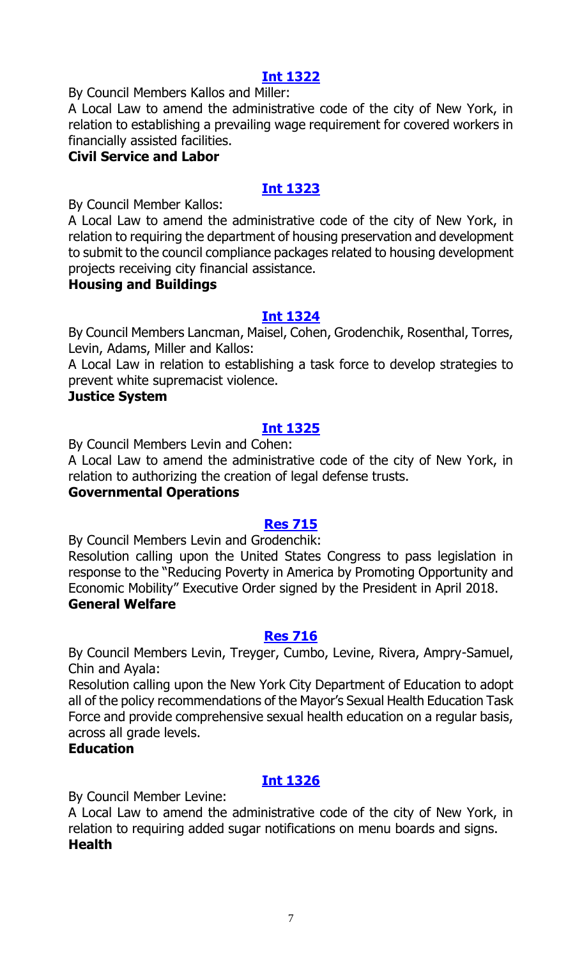# **[Int 1322](https://legistar.council.nyc.gov/LegislationDetail.aspx?ID=3830886&GUID=E2EB9EBA-DFED-480D-A516-3A969B66E7C9&Options=ID|&Search=)**

By Council Members Kallos and Miller:

A Local Law to amend the administrative code of the city of New York, in relation to establishing a prevailing wage requirement for covered workers in financially assisted facilities.

# **Civil Service and Labor**

# **[Int 1323](https://legistar.council.nyc.gov/LegislationDetail.aspx?ID=3830888&GUID=C71F00CB-01A1-4D8A-A6B7-C4C82FC131C9&Options=ID|&Search=)**

By Council Member Kallos:

A Local Law to amend the administrative code of the city of New York, in relation to requiring the department of housing preservation and development to submit to the council compliance packages related to housing development projects receiving city financial assistance.

#### **Housing and Buildings**

#### **[Int 1324](https://legistar.council.nyc.gov/LegislationDetail.aspx?ID=3830893&GUID=B4CD0051-D906-4302-83EB-354549632765&Options=ID|&Search=)**

By Council Members Lancman, Maisel, Cohen, Grodenchik, Rosenthal, Torres, Levin, Adams, Miller and Kallos:

A Local Law in relation to establishing a task force to develop strategies to prevent white supremacist violence.

#### **Justice System**

# **[Int 1325](https://legistar.council.nyc.gov/LegislationDetail.aspx?ID=3823152&GUID=665DDDF9-0F16-445F-857A-70A6A5BD5068&Options=ID|&Search=)**

By Council Members Levin and Cohen:

A Local Law to amend the administrative code of the city of New York, in relation to authorizing the creation of legal defense trusts.

#### **Governmental Operations**

#### **[Res 715](https://legistar.council.nyc.gov/LegislationDetail.aspx?ID=3830896&GUID=0A9A0695-991E-4D86-84E4-A56E3DA01A48&Options=ID|&Search=)**

By Council Members Levin and Grodenchik:

Resolution calling upon the United States Congress to pass legislation in response to the "Reducing Poverty in America by Promoting Opportunity and Economic Mobility" Executive Order signed by the President in April 2018. **General Welfare**

#### **[Res 716](https://legistar.council.nyc.gov/LegislationDetail.aspx?ID=3830887&GUID=89F42361-5174-40A1-B09D-F40B0392A03C&Options=ID|&Search=)**

By Council Members Levin, Treyger, Cumbo, Levine, Rivera, Ampry-Samuel, Chin and Ayala:

Resolution calling upon the New York City Department of Education to adopt all of the policy recommendations of the Mayor's Sexual Health Education Task Force and provide comprehensive sexual health education on a regular basis, across all grade levels.

#### **Education**

# **[Int 1326](https://legistar.council.nyc.gov/LegislationDetail.aspx?ID=3830892&GUID=F0188D46-4D9A-46C5-9AC9-F7B7A01DA689&Options=ID|&Search=)**

By Council Member Levine:

A Local Law to amend the administrative code of the city of New York, in relation to requiring added sugar notifications on menu boards and signs. **Health**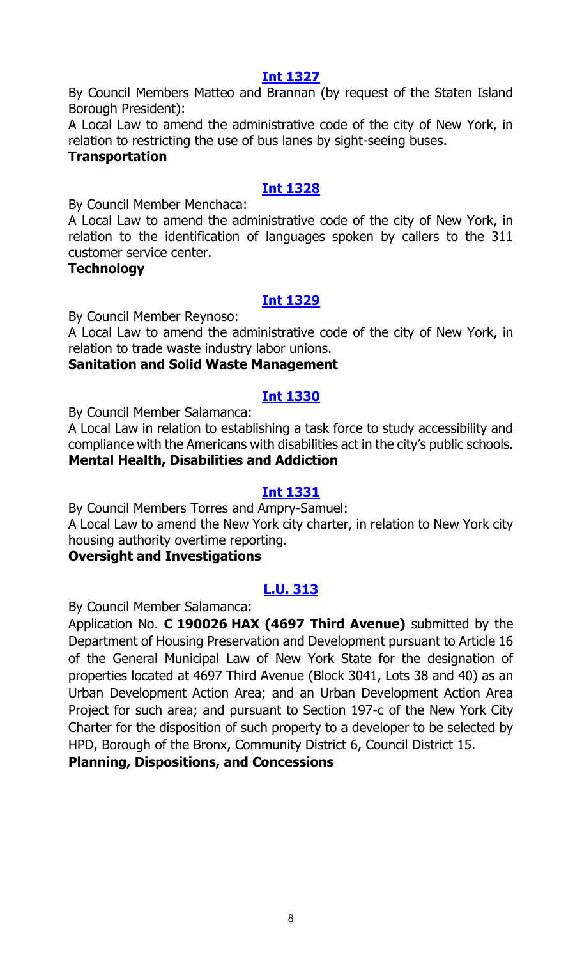# **[Int 1327](https://legistar.council.nyc.gov/LegislationDetail.aspx?ID=3830900&GUID=6135AD66-6A12-4E64-A1E0-16175D3139D3&Options=ID|&Search=)**

By Council Members Matteo and Brannan (by request of the Staten Island Borough President):

A Local Law to amend the administrative code of the city of New York, in relation to restricting the use of bus lanes by sight-seeing buses.

#### **Transportation**

# **[Int 1328](https://legistar.council.nyc.gov/LegislationDetail.aspx?ID=3827154&GUID=0B20E5CF-B12E-4DEB-92FC-646E3E6CE535&Options=ID|&Search=)**

By Council Member Menchaca:

A Local Law to amend the administrative code of the city of New York, in relation to the identification of languages spoken by callers to the 311 customer service center.

#### **Technology**

# **[Int 1329](https://legistar.council.nyc.gov/LegislationDetail.aspx?ID=3830902&GUID=1555669D-54C3-4D8D-BD16-93422E256BFF&Options=ID|&Search=)**

By Council Member Reynoso:

A Local Law to amend the administrative code of the city of New York, in relation to trade waste industry labor unions.

#### **Sanitation and Solid Waste Management**

#### **[Int 1330](https://legistar.council.nyc.gov/LegislationDetail.aspx?ID=3830903&GUID=B181BB4A-72FB-4FDC-B761-2B38089A2147&Options=ID|&Search=)**

By Council Member Salamanca:

A Local Law in relation to establishing a task force to study accessibility and compliance with the Americans with disabilities act in the city's public schools. **Mental Health, Disabilities and Addiction**

#### **[Int 1331](https://legistar.council.nyc.gov/LegislationDetail.aspx?ID=3830901&GUID=976F907C-E57A-4D77-8B25-446785A9F847&Options=ID|&Search=)**

By Council Members Torres and Ampry-Samuel: A Local Law to amend the New York city charter, in relation to New York city housing authority overtime reporting.

#### **Oversight and Investigations**

# **[L.U. 313](https://legistar.council.nyc.gov/LegislationDetail.aspx?ID=3829594&GUID=8C8250BA-5F7C-466B-BF28-5F9A6C170136&Options=Advanced&Search=)**

By Council Member Salamanca:

Application No. **C 190026 HAX (4697 Third Avenue)** submitted by the Department of Housing Preservation and Development pursuant to Article 16 of the General Municipal Law of New York State for the designation of properties located at 4697 Third Avenue (Block 3041, Lots 38 and 40) as an Urban Development Action Area; and an Urban Development Action Area Project for such area; and pursuant to Section 197-c of the New York City Charter for the disposition of such property to a developer to be selected by HPD, Borough of the Bronx, Community District 6, Council District 15.

**Planning, Dispositions, and Concessions**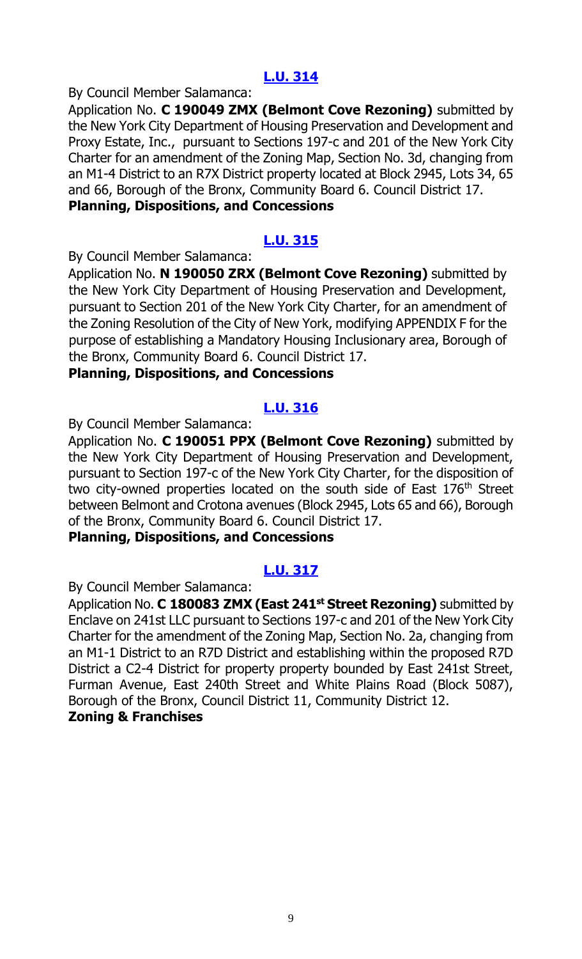# **[L.U. 314](https://legistar.council.nyc.gov/LegislationDetail.aspx?ID=3829595&GUID=3AE51FEB-31CA-4D85-B38A-34912B58F150&Options=Advanced&Search=)**

By Council Member Salamanca:

Application No. **C 190049 ZMX (Belmont Cove Rezoning)** submitted by the New York City Department of Housing Preservation and Development and Proxy Estate, Inc., pursuant to Sections 197-c and 201 of the New York City Charter for an amendment of the Zoning Map, Section No. 3d, changing from an M1-4 District to an R7X District property located at Block 2945, Lots 34, 65 and 66, Borough of the Bronx, Community Board 6. Council District 17.

# **Planning, Dispositions, and Concessions**

# **[L.U. 315](https://legistar.council.nyc.gov/LegislationDetail.aspx?ID=3829596&GUID=24926D28-3D3B-4FA3-BE66-C151D61C2CB6&Options=Advanced&Search=)**

By Council Member Salamanca:

Application No. **N 190050 ZRX (Belmont Cove Rezoning)** submitted by the New York City Department of Housing Preservation and Development, pursuant to Section 201 of the New York City Charter, for an amendment of the Zoning Resolution of the City of New York, modifying APPENDIX F for the purpose of establishing a Mandatory Housing Inclusionary area, Borough of the Bronx, Community Board 6. Council District 17.

#### **Planning, Dispositions, and Concessions**

# **[L.U. 316](https://legistar.council.nyc.gov/LegislationDetail.aspx?ID=3829597&GUID=8D603EE6-693C-427F-976B-9805271F4536&Options=Advanced&Search=)**

By Council Member Salamanca:

Application No. **C 190051 PPX (Belmont Cove Rezoning)** submitted by the New York City Department of Housing Preservation and Development, pursuant to Section 197-c of the New York City Charter, for the disposition of two city-owned properties located on the south side of East 176<sup>th</sup> Street between Belmont and Crotona avenues (Block 2945, Lots 65 and 66), Borough of the Bronx, Community Board 6. Council District 17.

#### **Planning, Dispositions, and Concessions**

# **[L.U. 317](https://legistar.council.nyc.gov/LegislationDetail.aspx?ID=3829598&GUID=EBD0AD14-92EA-4521-BDE6-0CE60953171A&Options=Advanced&Search=)**

By Council Member Salamanca:

Application No. **C 180083 ZMX (East 241st Street Rezoning)** submitted by Enclave on 241st LLC pursuant to Sections 197-c and 201 of the New York City Charter for the amendment of the Zoning Map, Section No. 2a, changing from an M1-1 District to an R7D District and establishing within the proposed R7D District a C2-4 District for property property bounded by East 241st Street, Furman Avenue, East 240th Street and White Plains Road (Block 5087), Borough of the Bronx, Council District 11, Community District 12. **Zoning & Franchises**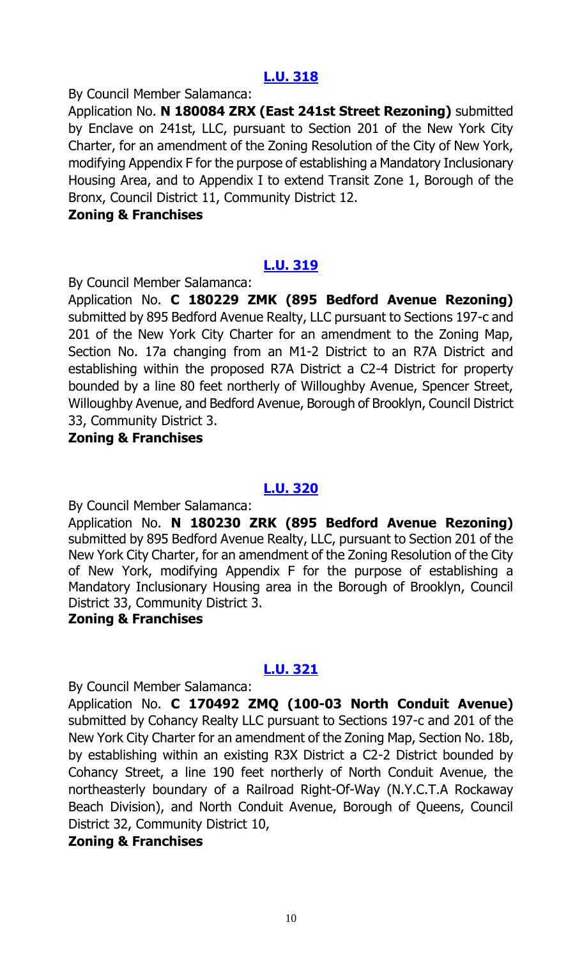# **[L.U. 318](https://legistar.council.nyc.gov/LegislationDetail.aspx?ID=3829616&GUID=5321D9D3-0BC5-472B-9B21-3267B3BD572A&Options=Advanced&Search=)**

By Council Member Salamanca:

Application No. **N 180084 ZRX (East 241st Street Rezoning)** submitted by Enclave on 241st, LLC, pursuant to Section 201 of the New York City Charter, for an amendment of the Zoning Resolution of the City of New York, modifying Appendix F for the purpose of establishing a Mandatory Inclusionary Housing Area, and to Appendix I to extend Transit Zone 1, Borough of the Bronx, Council District 11, Community District 12.

#### **Zoning & Franchises**

# **[L.U. 319](https://legistar.council.nyc.gov/LegislationDetail.aspx?ID=3829617&GUID=72BE92B2-3E73-409D-B69B-3A4F7C7CE1D8&Options=Advanced&Search=)**

By Council Member Salamanca:

Application No. **C 180229 ZMK (895 Bedford Avenue Rezoning)** submitted by 895 Bedford Avenue Realty, LLC pursuant to Sections 197-c and 201 of the New York City Charter for an amendment to the Zoning Map, Section No. 17a changing from an M1-2 District to an R7A District and establishing within the proposed R7A District a C2-4 District for property bounded by a line 80 feet northerly of Willoughby Avenue, Spencer Street, Willoughby Avenue, and Bedford Avenue, Borough of Brooklyn, Council District 33, Community District 3.

# **Zoning & Franchises**

# **[L.U. 320](https://legistar.council.nyc.gov/LegislationDetail.aspx?ID=3829618&GUID=18FD1DAA-D043-4231-A7AD-F441E544A716&Options=Advanced&Search=)**

By Council Member Salamanca:

Application No. **N 180230 ZRK (895 Bedford Avenue Rezoning)** submitted by 895 Bedford Avenue Realty, LLC, pursuant to Section 201 of the New York City Charter, for an amendment of the Zoning Resolution of the City of New York, modifying Appendix F for the purpose of establishing a Mandatory Inclusionary Housing area in the Borough of Brooklyn, Council District 33, Community District 3.

#### **Zoning & Franchises**

# **[L.U. 321](https://legistar.council.nyc.gov/LegislationDetail.aspx?ID=3829619&GUID=E30E53DE-BF81-47B5-A138-26C7B0B455B8&Options=Advanced&Search=)**

By Council Member Salamanca:

Application No. **C 170492 ZMQ (100-03 North Conduit Avenue)** submitted by Cohancy Realty LLC pursuant to Sections 197-c and 201 of the New York City Charter for an amendment of the Zoning Map, Section No. 18b, by establishing within an existing R3X District a C2-2 District bounded by Cohancy Street, a line 190 feet northerly of North Conduit Avenue, the northeasterly boundary of a Railroad Right-Of-Way (N.Y.C.T.A Rockaway Beach Division), and North Conduit Avenue, Borough of Queens, Council District 32, Community District 10,

# **Zoning & Franchises**